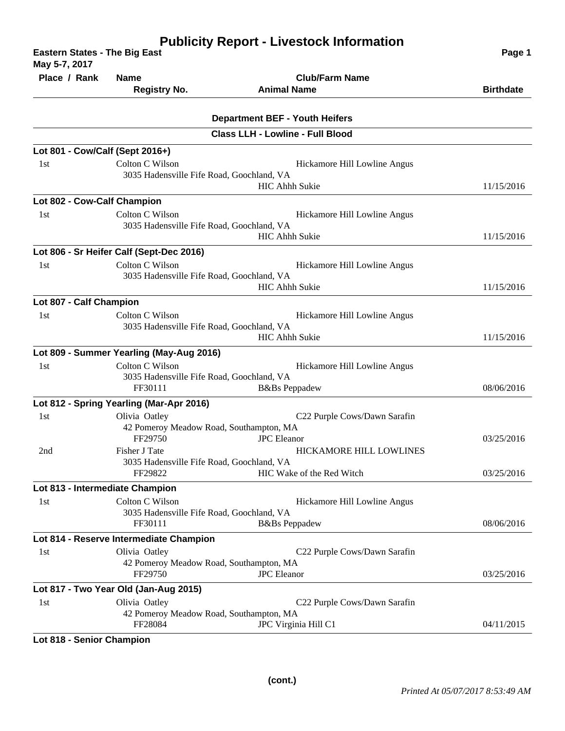| <b>Eastern States - The Big East</b><br>May 5-7, 2017 | Page 1                                                                                                                    |                                                       |                  |
|-------------------------------------------------------|---------------------------------------------------------------------------------------------------------------------------|-------------------------------------------------------|------------------|
| Place / Rank                                          | <b>Name</b><br><b>Registry No.</b>                                                                                        | <b>Club/Farm Name</b><br><b>Animal Name</b>           | <b>Birthdate</b> |
|                                                       |                                                                                                                           |                                                       |                  |
|                                                       |                                                                                                                           | <b>Department BEF - Youth Heifers</b>                 |                  |
|                                                       |                                                                                                                           | <b>Class LLH - Lowline - Full Blood</b>               |                  |
| Lot 801 - Cow/Calf (Sept 2016+)                       |                                                                                                                           |                                                       |                  |
| 1st                                                   | Colton C Wilson<br>3035 Hadensville Fife Road, Goochland, VA                                                              | Hickamore Hill Lowline Angus                          |                  |
|                                                       |                                                                                                                           | <b>HIC Ahhh Sukie</b>                                 | 11/15/2016       |
| Lot 802 - Cow-Calf Champion<br>1st                    | Colton C Wilson<br>3035 Hadensville Fife Road, Goochland, VA                                                              | Hickamore Hill Lowline Angus                          |                  |
|                                                       |                                                                                                                           | <b>HIC Ahhh Sukie</b>                                 | 11/15/2016       |
| 1st                                                   | Lot 806 - Sr Heifer Calf (Sept-Dec 2016)<br>Colton C Wilson<br>3035 Hadensville Fife Road, Goochland, VA                  | Hickamore Hill Lowline Angus                          |                  |
|                                                       |                                                                                                                           | 11/15/2016                                            |                  |
| Lot 807 - Calf Champion                               |                                                                                                                           |                                                       |                  |
| 1st                                                   | Colton C Wilson<br>3035 Hadensville Fife Road, Goochland, VA                                                              | Hickamore Hill Lowline Angus                          |                  |
|                                                       |                                                                                                                           | <b>HIC Ahhh Sukie</b>                                 | 11/15/2016       |
|                                                       | Lot 809 - Summer Yearling (May-Aug 2016)                                                                                  |                                                       |                  |
| 1st                                                   | Colton C Wilson<br>3035 Hadensville Fife Road, Goochland, VA<br>FF30111                                                   | Hickamore Hill Lowline Angus<br><b>B</b> &Bs Peppadew | 08/06/2016       |
|                                                       | Lot 812 - Spring Yearling (Mar-Apr 2016)                                                                                  |                                                       |                  |
| 1st                                                   | Olivia Oatley<br>C22 Purple Cows/Dawn Sarafin<br>42 Pomeroy Meadow Road, Southampton, MA<br>FF29750<br><b>JPC</b> Eleanor |                                                       | 03/25/2016       |
| 2nd                                                   | <b>Fisher J Tate</b><br>3035 Hadensville Fife Road, Goochland, VA<br>FF29822                                              | HICKAMORE HILL LOWLINES<br>HIC Wake of the Red Witch  | 03/25/2016       |
|                                                       | Lot 813 - Intermediate Champion                                                                                           |                                                       |                  |
| 1st                                                   | Colton C Wilson<br>3035 Hadensville Fife Road, Goochland, VA                                                              | Hickamore Hill Lowline Angus                          |                  |
|                                                       | FF30111                                                                                                                   | <b>B</b> &Bs Peppadew                                 | 08/06/2016       |
|                                                       | Lot 814 - Reserve Intermediate Champion                                                                                   |                                                       |                  |
| 1st                                                   | Olivia Oatley<br>42 Pomeroy Meadow Road, Southampton, MA<br>FF29750                                                       | C22 Purple Cows/Dawn Sarafin<br><b>JPC</b> Eleanor    | 03/25/2016       |
|                                                       | Lot 817 - Two Year Old (Jan-Aug 2015)                                                                                     |                                                       |                  |
| 1st                                                   | Olivia Oatley<br>42 Pomeroy Meadow Road, Southampton, MA                                                                  | C22 Purple Cows/Dawn Sarafin                          |                  |
|                                                       | FF28084                                                                                                                   | JPC Virginia Hill C1                                  | 04/11/2015       |

**Lot 818 - Senior Champion**